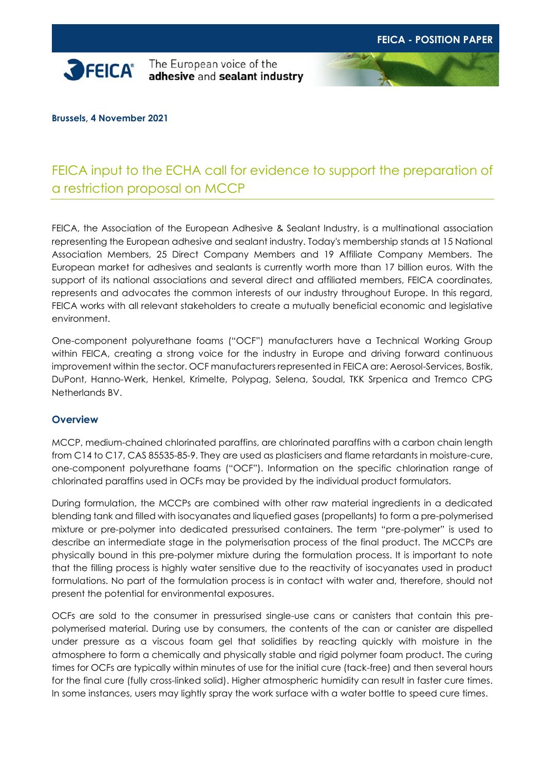

**Brussels, 4 November 2021**

# FEICA input to the ECHA call for evidence to support the preparation of a restriction proposal on MCCP

FEICA, the Association of the European Adhesive & Sealant Industry, is a multinational association representing the European adhesive and sealant industry. Today's membership stands at 15 National Association Members, 25 Direct Company Members and 19 Affiliate Company Members. The European market for adhesives and sealants is currently worth more than 17 billion euros. With the support of its national associations and several direct and affiliated members, FEICA coordinates, represents and advocates the common interests of our industry throughout Europe. In this regard, FEICA works with all relevant stakeholders to create a mutually beneficial economic and legislative environment.

One-component polyurethane foams ("OCF") manufacturers have a Technical Working Group within FEICA, creating a strong voice for the industry in Europe and driving forward continuous improvement within the sector. OCF manufacturers represented in FEICA are: Aerosol-Services, Bostik, DuPont, Hanno-Werk, Henkel, Krimelte, Polypag, Selena, Soudal, TKK Srpenica and Tremco CPG Netherlands BV.

## **Overview**

MCCP, medium-chained chlorinated paraffins, are chlorinated paraffins with a carbon chain length from C14 to C17, CAS 85535-85-9. They are used as plasticisers and flame retardants in moisture-cure, one-component polyurethane foams ("OCF"). Information on the specific chlorination range of chlorinated paraffins used in OCFs may be provided by the individual product formulators.

During formulation, the MCCPs are combined with other raw material ingredients in a dedicated blending tank and filled with isocyanates and liquefied gases (propellants) to form a pre-polymerised mixture or pre-polymer into dedicated pressurised containers. The term "pre-polymer" is used to describe an intermediate stage in the polymerisation process of the final product. The MCCPs are physically bound in this pre-polymer mixture during the formulation process. It is important to note that the filling process is highly water sensitive due to the reactivity of isocyanates used in product formulations. No part of the formulation process is in contact with water and, therefore, should not present the potential for environmental exposures.

OCFs are sold to the consumer in pressurised single-use cans or canisters that contain this prepolymerised material. During use by consumers, the contents of the can or canister are dispelled under pressure as a viscous foam gel that solidifies by reacting quickly with moisture in the atmosphere to form a chemically and physically stable and rigid polymer foam product. The curing times for OCFs are typically within minutes of use for the initial cure (tack-free) and then several hours for the final cure (fully cross-linked solid). Higher atmospheric humidity can result in faster cure times. In some instances, users may lightly spray the work surface with a water bottle to speed cure times.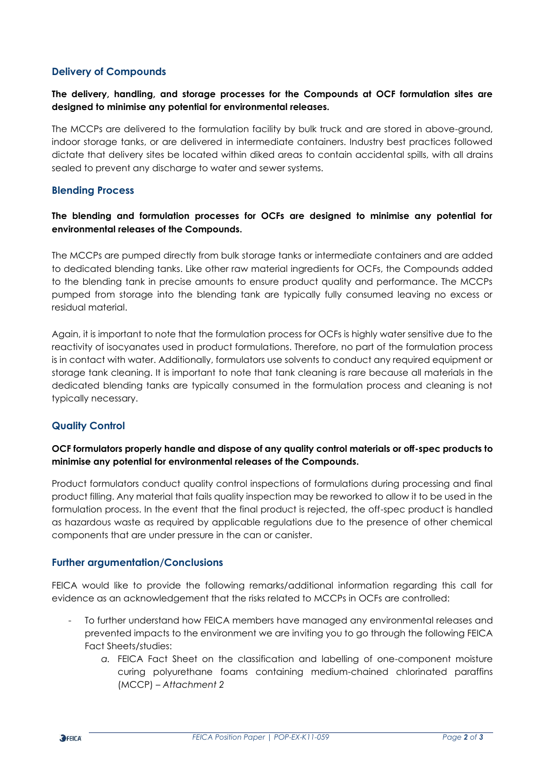## **Delivery of Compounds**

## **The delivery, handling, and storage processes for the Compounds at OCF formulation sites are designed to minimise any potential for environmental releases.**

The MCCPs are delivered to the formulation facility by bulk truck and are stored in above-ground, indoor storage tanks, or are delivered in intermediate containers. Industry best practices followed dictate that delivery sites be located within diked areas to contain accidental spills, with all drains sealed to prevent any discharge to water and sewer systems.

## **Blending Process**

## **The blending and formulation processes for OCFs are designed to minimise any potential for environmental releases of the Compounds.**

The MCCPs are pumped directly from bulk storage tanks or intermediate containers and are added to dedicated blending tanks. Like other raw material ingredients for OCFs, the Compounds added to the blending tank in precise amounts to ensure product quality and performance. The MCCPs pumped from storage into the blending tank are typically fully consumed leaving no excess or residual material.

Again, it is important to note that the formulation process for OCFs is highly water sensitive due to the reactivity of isocyanates used in product formulations. Therefore, no part of the formulation process is in contact with water. Additionally, formulators use solvents to conduct any required equipment or storage tank cleaning. It is important to note that tank cleaning is rare because all materials in the dedicated blending tanks are typically consumed in the formulation process and cleaning is not typically necessary.

## **Quality Control**

## **OCF formulators properly handle and dispose of any quality control materials or off-spec products to minimise any potential for environmental releases of the Compounds.**

Product formulators conduct quality control inspections of formulations during processing and final product filling. Any material that fails quality inspection may be reworked to allow it to be used in the formulation process. In the event that the final product is rejected, the off-spec product is handled as hazardous waste as required by applicable regulations due to the presence of other chemical components that are under pressure in the can or canister.

## **Further argumentation/Conclusions**

FEICA would like to provide the following remarks/additional information regarding this call for evidence as an acknowledgement that the risks related to MCCPs in OCFs are controlled:

- To further understand how FEICA members have managed any environmental releases and prevented impacts to the environment we are inviting you to go through the following FEICA Fact Sheets/studies:
	- *a.* FEICA Fact Sheet on the classification and labelling of one-component moisture curing polyurethane foams containing medium-chained chlorinated paraffins (MCCP) – *Attachment 2*